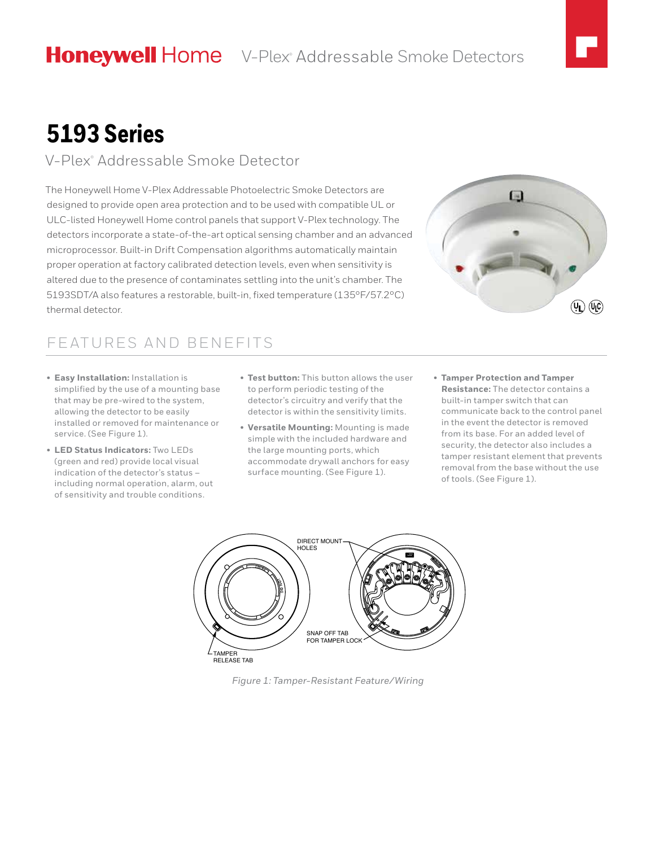# **5193 Series**

#### V-Plex® Addressable Smoke Detector

The Honeywell Home V-Plex Addressable Photoelectric Smoke Detectors are designed to provide open area protection and to be used with compatible UL or ULC-listed Honeywell Home control panels that support V-Plex technology. The detectors incorporate a state-of-the-art optical sensing chamber and an advanced microprocessor. Built-in Drift Compensation algorithms automatically maintain proper operation at factory calibrated detection levels, even when sensitivity is altered due to the presence of contaminates settling into the unit's chamber. The 5193SDT/A also features a restorable, built-in, fixed temperature (135°F/57.2°C) thermal detector.

# $\sim$  $(\mathbf{Q}_L)$   $(\mathbf{Q}_L)$

### FEATURES AND BENEFITS

- **Easy Installation:** Installation is simplified by the use of a mounting base that may be pre-wired to the system, allowing the detector to be easily installed or removed for maintenance or service. (See Figure 1).
- **LED Status Indicators:** Two LEDs (green and red) provide local visual indication of the detector's status – including normal operation, alarm, out of sensitivity and trouble conditions.
- **Test button:** This button allows the user to perform periodic testing of the detector's circuitry and verify that the detector is within the sensitivity limits.
- **Versatile Mounting:** Mounting is made simple with the included hardware and the large mounting ports, which accommodate drywall anchors for easy surface mounting. (See Figure 1).
- **Tamper Protection and Tamper Resistance:** The detector contains a built-in tamper switch that can communicate back to the control panel in the event the detector is removed from its base. For an added level of security, the detector also includes a tamper resistant element that prevents removal from the base without the use of tools. (See Figure 1).



*Figure 1: Tamper-Resistant Feature/Wiring*